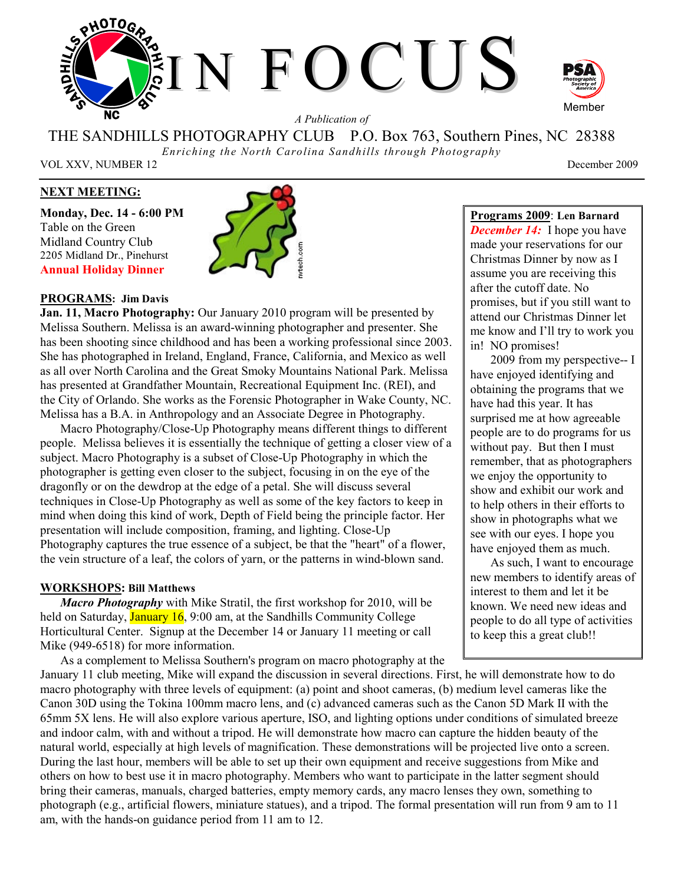

THE SANDHILLS PHOTOGRAPHY CLUB P.O. Box 763, Southern Pines, NC 28388

*Enriching the North Carolina Sandhills through Photography* 

VOL XXV, NUMBER 12 December 2009

# **NEXT MEETING:**

**Monday, Dec. 14 - 6:00 PM**  Table on the Green Midland Country Club 2205 Midland Dr., Pinehurst **Annual Holiday Dinner** 



# **PROGRAMS: Jim Davis**

**Jan. 11, Macro Photography:** Our January 2010 program will be presented by Melissa Southern. Melissa is an award-winning photographer and presenter. She has been shooting since childhood and has been a working professional since 2003. She has photographed in Ireland, England, France, California, and Mexico as well as all over North Carolina and the Great Smoky Mountains National Park. Melissa has presented at Grandfather Mountain, Recreational Equipment Inc. (REI), and the City of Orlando. She works as the Forensic Photographer in Wake County, NC. Melissa has a B.A. in Anthropology and an Associate Degree in Photography.

Macro Photography/Close-Up Photography means different things to different people. Melissa believes it is essentially the technique of getting a closer view of a subject. Macro Photography is a subset of Close-Up Photography in which the photographer is getting even closer to the subject, focusing in on the eye of the dragonfly or on the dewdrop at the edge of a petal. She will discuss several techniques in Close-Up Photography as well as some of the key factors to keep in mind when doing this kind of work, Depth of Field being the principle factor. Her presentation will include composition, framing, and lighting. Close-Up Photography captures the true essence of a subject, be that the "heart" of a flower, the vein structure of a leaf, the colors of yarn, or the patterns in wind-blown sand.

### **WORKSHOPS: Bill Matthews**

*Macro Photography* with Mike Stratil, the first workshop for 2010, will be held on Saturday, **January 16**, 9:00 am, at the Sandhills Community College Horticultural Center. Signup at the December 14 or January 11 meeting or call Mike (949-6518) for more information.

As a complement to Melissa Southern's program on macro photography at the

attend our Christmas Dinner let me know and I'll try to work you in! NO promises! 2009 from my perspective-- I have enjoyed identifying and obtaining the programs that we have had this year. It has surprised me at how agreeable people are to do programs for us

promises, but if you still want to

**Programs 2009**: **Len Barnard**  *December 14:* I hope you have made your reservations for our Christmas Dinner by now as I assume you are receiving this after the cutoff date. No

without pay. But then I must remember, that as photographers we enjoy the opportunity to show and exhibit our work and to help others in their efforts to show in photographs what we see with our eyes. I hope you have enjoyed them as much. As such, I want to encourage

new members to identify areas of interest to them and let it be known. We need new ideas and people to do all type of activities to keep this a great club!!

January 11 club meeting, Mike will expand the discussion in several directions. First, he will demonstrate how to do macro photography with three levels of equipment: (a) point and shoot cameras, (b) medium level cameras like the Canon 30D using the Tokina 100mm macro lens, and (c) advanced cameras such as the Canon 5D Mark II with the 65mm 5X lens. He will also explore various aperture, ISO, and lighting options under conditions of simulated breeze and indoor calm, with and without a tripod. He will demonstrate how macro can capture the hidden beauty of the natural world, especially at high levels of magnification. These demonstrations will be projected live onto a screen. During the last hour, members will be able to set up their own equipment and receive suggestions from Mike and others on how to best use it in macro photography. Members who want to participate in the latter segment should bring their cameras, manuals, charged batteries, empty memory cards, any macro lenses they own, something to photograph (e.g., artificial flowers, miniature statues), and a tripod. The formal presentation will run from 9 am to 11 am, with the hands-on guidance period from 11 am to 12.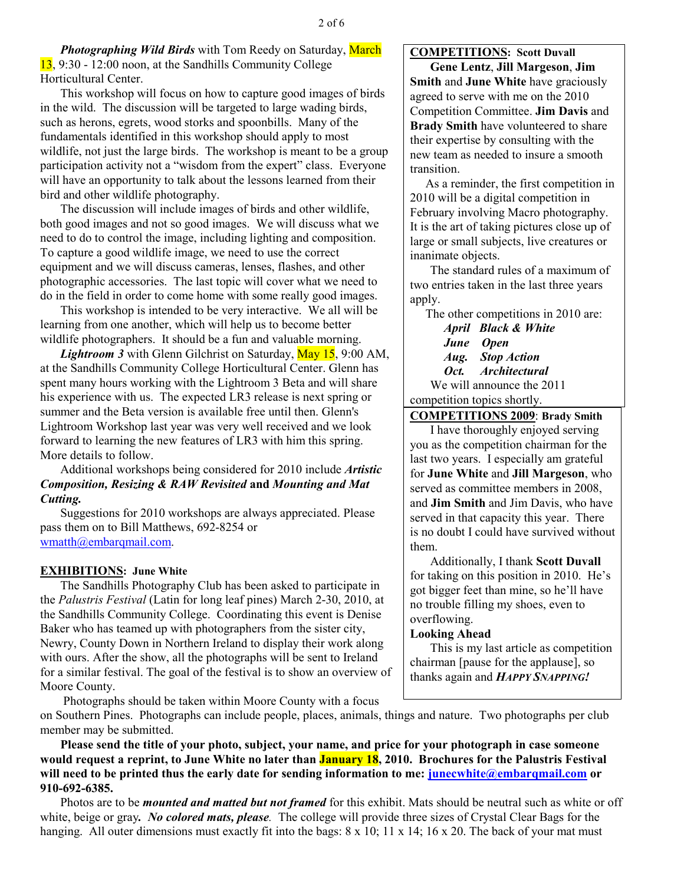**Photographing Wild Birds** with Tom Reedy on Saturday, March 13, 9:30 - 12:00 noon, at the Sandhills Community College Horticultural Center.

This workshop will focus on how to capture good images of birds in the wild. The discussion will be targeted to large wading birds, such as herons, egrets, wood storks and spoonbills. Many of the fundamentals identified in this workshop should apply to most wildlife, not just the large birds. The workshop is meant to be a group participation activity not a "wisdom from the expert" class. Everyone will have an opportunity to talk about the lessons learned from their bird and other wildlife photography.

The discussion will include images of birds and other wildlife, both good images and not so good images. We will discuss what we need to do to control the image, including lighting and composition. To capture a good wildlife image, we need to use the correct equipment and we will discuss cameras, lenses, flashes, and other photographic accessories. The last topic will cover what we need to do in the field in order to come home with some really good images.

This workshop is intended to be very interactive. We all will be learning from one another, which will help us to become better wildlife photographers. It should be a fun and valuable morning.

*Lightroom 3* with Glenn Gilchrist on Saturday, May 15, 9:00 AM, at the Sandhills Community College Horticultural Center. Glenn has spent many hours working with the Lightroom 3 Beta and will share his experience with us. The expected LR3 release is next spring or summer and the Beta version is available free until then. Glenn's Lightroom Workshop last year was very well received and we look forward to learning the new features of LR3 with him this spring. More details to follow.

Additional workshops being considered for 2010 include *Artistic Composition, Resizing & RAW Revisited* **and** *Mounting and Mat Cutting.* 

Suggestions for 2010 workshops are always appreciated. Please pass them on to Bill Matthews, 692-8254 or wmatth@embarqmail.com.

# **EXHIBITIONS: June White**

The Sandhills Photography Club has been asked to participate in the *Palustris Festival* (Latin for long leaf pines) March 2-30, 2010, at the Sandhills Community College. Coordinating this event is Denise Baker who has teamed up with photographers from the sister city, Newry, County Down in Northern Ireland to display their work along with ours. After the show, all the photographs will be sent to Ireland for a similar festival. The goal of the festival is to show an overview of Moore County.

#### **COMPETITIONS: Scott Duvall**

**Gene Lentz**, **Jill Margeson**, **Jim Smith** and **June White** have graciously agreed to serve with me on the 2010 Competition Committee. **Jim Davis** and **Brady Smith** have volunteered to share their expertise by consulting with the new team as needed to insure a smooth transition.

 As a reminder, the first competition in 2010 will be a digital competition in February involving Macro photography. It is the art of taking pictures close up of large or small subjects, live creatures or inanimate objects.

The standard rules of a maximum of two entries taken in the last three years apply.

The other competitions in 2010 are:

 *April Black & White June Open Aug. Stop Action Oct. Architectural*  We will announce the 2011 competition topics shortly.

**COMPETITIONS 2009**: **Brady Smith**

I have thoroughly enjoyed serving you as the competition chairman for the last two years. I especially am grateful for **June White** and **Jill Margeson**, who served as committee members in 2008, and **Jim Smith** and Jim Davis, who have served in that capacity this year. There is no doubt I could have survived without them.

Additionally, I thank **Scott Duvall** for taking on this position in 2010. He's got bigger feet than mine, so he'll have no trouble filling my shoes, even to overflowing.

### **Looking Ahead**

This is my last article as competition chairman [pause for the applause], so thanks again and *HAPPY SNAPPING!* 

Photographs should be taken within Moore County with a focus

on Southern Pines. Photographs can include people, places, animals, things and nature. Two photographs per club member may be submitted.

**Please send the title of your photo, subject, your name, and price for your photograph in case someone would request a reprint, to June White no later than January 18, 2010. Brochures for the Palustris Festival**  will need to be printed thus the early date for sending information to me: **junecwhite@embarqmail.com** or **910-692-6385.** 

Photos are to be *mounted and matted but not framed* for this exhibit. Mats should be neutral such as white or off white, beige or gray*. No colored mats, please.* The college will provide three sizes of Crystal Clear Bags for the hanging. All outer dimensions must exactly fit into the bags:  $8 \times 10$ ;  $11 \times 14$ ;  $16 \times 20$ . The back of your mat must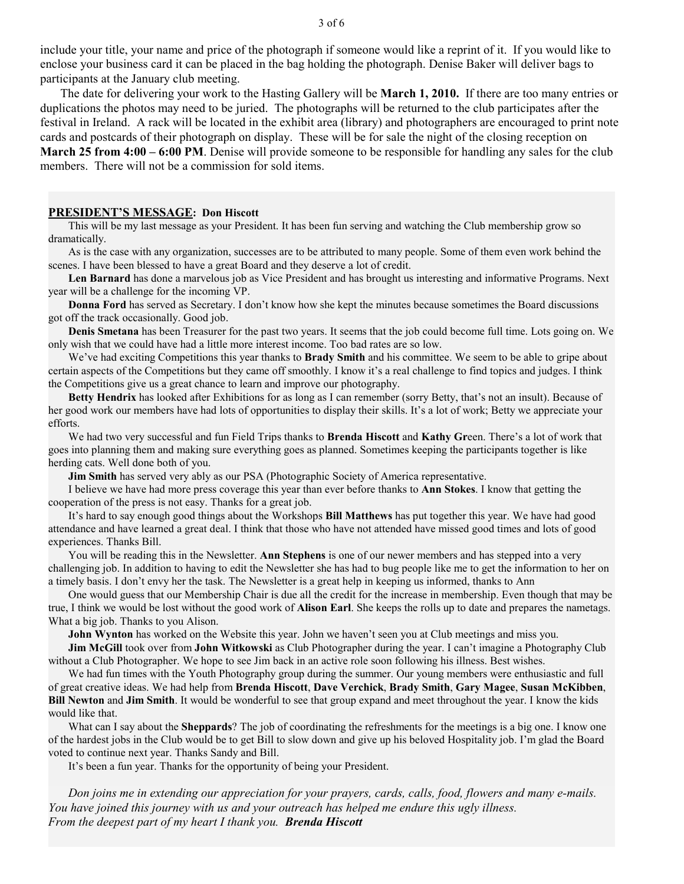include your title, your name and price of the photograph if someone would like a reprint of it. If you would like to enclose your business card it can be placed in the bag holding the photograph. Denise Baker will deliver bags to participants at the January club meeting.

The date for delivering your work to the Hasting Gallery will be **March 1, 2010.** If there are too many entries or duplications the photos may need to be juried. The photographs will be returned to the club participates after the festival in Ireland. A rack will be located in the exhibit area (library) and photographers are encouraged to print note cards and postcards of their photograph on display. These will be for sale the night of the closing reception on **March 25 from 4:00 – 6:00 PM**. Denise will provide someone to be responsible for handling any sales for the club

members. There will not be a commission for sold items.

#### **PRESIDENT'S MESSAGE: Don Hiscott**

This will be my last message as your President. It has been fun serving and watching the Club membership grow so dramatically.

As is the case with any organization, successes are to be attributed to many people. Some of them even work behind the scenes. I have been blessed to have a great Board and they deserve a lot of credit.

**Len Barnard** has done a marvelous job as Vice President and has brought us interesting and informative Programs. Next year will be a challenge for the incoming VP.

**Donna Ford** has served as Secretary. I don't know how she kept the minutes because sometimes the Board discussions got off the track occasionally. Good job.

**Denis Smetana** has been Treasurer for the past two years. It seems that the job could become full time. Lots going on. We only wish that we could have had a little more interest income. Too bad rates are so low.

We've had exciting Competitions this year thanks to **Brady Smith** and his committee. We seem to be able to gripe about certain aspects of the Competitions but they came off smoothly. I know it's a real challenge to find topics and judges. I think the Competitions give us a great chance to learn and improve our photography.

**Betty Hendrix** has looked after Exhibitions for as long as I can remember (sorry Betty, that's not an insult). Because of her good work our members have had lots of opportunities to display their skills. It's a lot of work; Betty we appreciate your efforts.

We had two very successful and fun Field Trips thanks to **Brenda Hiscott** and **Kathy Gr**een. There's a lot of work that goes into planning them and making sure everything goes as planned. Sometimes keeping the participants together is like herding cats. Well done both of you.

**Jim Smith** has served very ably as our PSA (Photographic Society of America representative.

I believe we have had more press coverage this year than ever before thanks to **Ann Stokes**. I know that getting the cooperation of the press is not easy. Thanks for a great job.

It's hard to say enough good things about the Workshops **Bill Matthews** has put together this year. We have had good attendance and have learned a great deal. I think that those who have not attended have missed good times and lots of good experiences. Thanks Bill.

You will be reading this in the Newsletter. **Ann Stephens** is one of our newer members and has stepped into a very challenging job. In addition to having to edit the Newsletter she has had to bug people like me to get the information to her on a timely basis. I don't envy her the task. The Newsletter is a great help in keeping us informed, thanks to Ann

One would guess that our Membership Chair is due all the credit for the increase in membership. Even though that may be true, I think we would be lost without the good work of **Alison Earl**. She keeps the rolls up to date and prepares the nametags. What a big job. Thanks to you Alison.

**John Wynton** has worked on the Website this year. John we haven't seen you at Club meetings and miss you.

**Jim McGill** took over from **John Witkowski** as Club Photographer during the year. I can't imagine a Photography Club without a Club Photographer. We hope to see Jim back in an active role soon following his illness. Best wishes.

We had fun times with the Youth Photography group during the summer. Our young members were enthusiastic and full of great creative ideas. We had help from **Brenda Hiscott**, **Dave Verchick**, **Brady Smith**, **Gary Magee**, **Susan McKibben**, **Bill Newton** and **Jim Smith**. It would be wonderful to see that group expand and meet throughout the year. I know the kids would like that.

What can I say about the **Sheppards**? The job of coordinating the refreshments for the meetings is a big one. I know one of the hardest jobs in the Club would be to get Bill to slow down and give up his beloved Hospitality job. I'm glad the Board voted to continue next year. Thanks Sandy and Bill.

It's been a fun year. Thanks for the opportunity of being your President.

*Don joins me in extending our appreciation for your prayers, cards, calls, food, flowers and many e-mails. You have joined this journey with us and your outreach has helped me endure this ugly illness. From the deepest part of my heart I thank you.**Brenda Hiscott*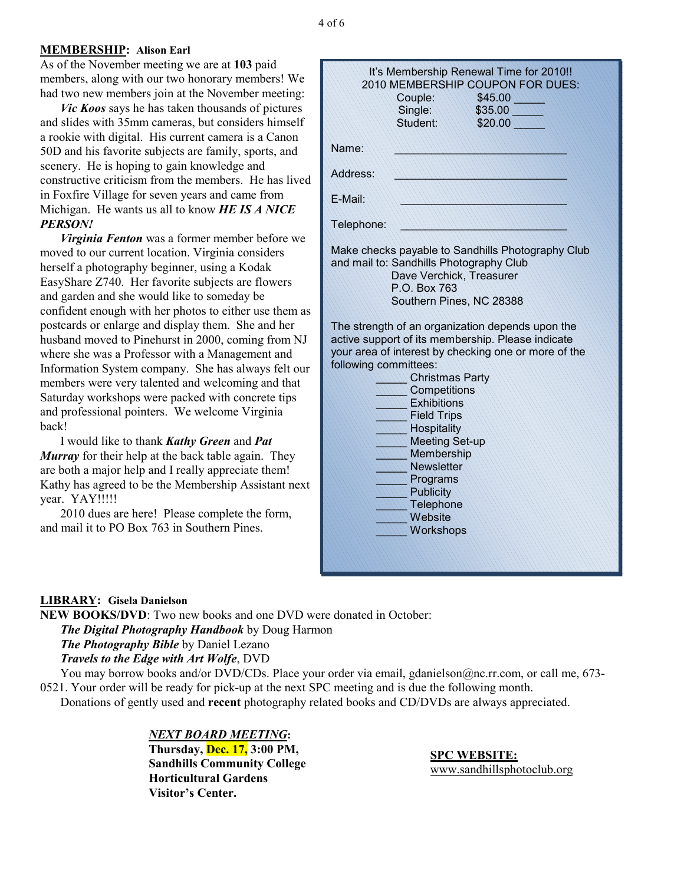# **MEMBERSHIP: Alison Earl**

As of the November meeting we are at **103** paid members, along with our two honorary members! We had two new members join at the November meeting:

*Vic Koos* says he has taken thousands of pictures and slides with 35mm cameras, but considers himself a rookie with digital. His current camera is a Canon 50D and his favorite subjects are family, sports, and scenery. He is hoping to gain knowledge and constructive criticism from the members. He has lived in Foxfire Village for seven years and came from Michigan. He wants us all to know *HE IS A NICE PERSON!* 

*Virginia Fenton* was a former member before we moved to our current location. Virginia considers herself a photography beginner, using a Kodak EasyShare Z740. Her favorite subjects are flowers and garden and she would like to someday be confident enough with her photos to either use them as postcards or enlarge and display them. She and her husband moved to Pinehurst in 2000, coming from NJ where she was a Professor with a Management and Information System company. She has always felt our members were very talented and welcoming and that Saturday workshops were packed with concrete tips and professional pointers. We welcome Virginia back!

I would like to thank *Kathy Green* and *Pat Murray* for their help at the back table again. They are both a major help and I really appreciate them! Kathy has agreed to be the Membership Assistant next year. YAY!!!!!

2010 dues are here! Please complete the form, and mail it to PO Box 763 in Southern Pines.

| It's Membership Renewal Time for 2010!!<br>2010 MEMBERSHIP COUPON FOR DUES: |
|-----------------------------------------------------------------------------|
| Couple:<br>\$45.00                                                          |
| Single:<br>\$35.00                                                          |
| Student:<br>\$20.00                                                         |
| Name:                                                                       |
|                                                                             |
| Address:                                                                    |
| E-Mail:                                                                     |
| Telephone:                                                                  |
| Make checks payable to Sandhills Photography Club                           |
| and mail to: Sandhills Photography Club                                     |
| Dave Verchick, Treasurer                                                    |
| P.O. Box 763<br>Southern Pines, NC 28388                                    |
|                                                                             |
| The strength of an organization depends upon the                            |
| active support of its membership. Please indicate                           |
| your area of interest by checking one or more of the                        |
| following committees:                                                       |
| <b>Christmas Party</b>                                                      |
| Competitions                                                                |
| <b>Exhibitions</b>                                                          |
| <b>Field Trips</b><br>Hospitality                                           |
| <b>Meeting Set-up</b>                                                       |
| Membership                                                                  |
| <b>Newsletter</b>                                                           |
| Programs                                                                    |
| <b>Publicity</b>                                                            |
| Telephone                                                                   |
| Website                                                                     |
| Workshops                                                                   |
|                                                                             |
|                                                                             |

# **LIBRARY: Gisela Danielson**

**NEW BOOKS/DVD**: Two new books and one DVD were donated in October: *The Digital Photography Handbook* by Doug Harmon *The Photography Bible* by Daniel Lezano *Travels to the Edge with Art Wolfe*, DVD You may borrow books and/or DVD/CDs. Place your order via email, gdanielson@nc.rr.com, or call me, 673-

0521. Your order will be ready for pick-up at the next SPC meeting and is due the following month. Donations of gently used and **recent** photography related books and CD/DVDs are always appreciated.

> *NEXT BOARD MEETING***: Thursday, Dec. 17, 3:00 PM, Sandhills Community College Horticultural Gardens Visitor's Center.**

**SPC WEBSITE:** www.sandhillsphotoclub.org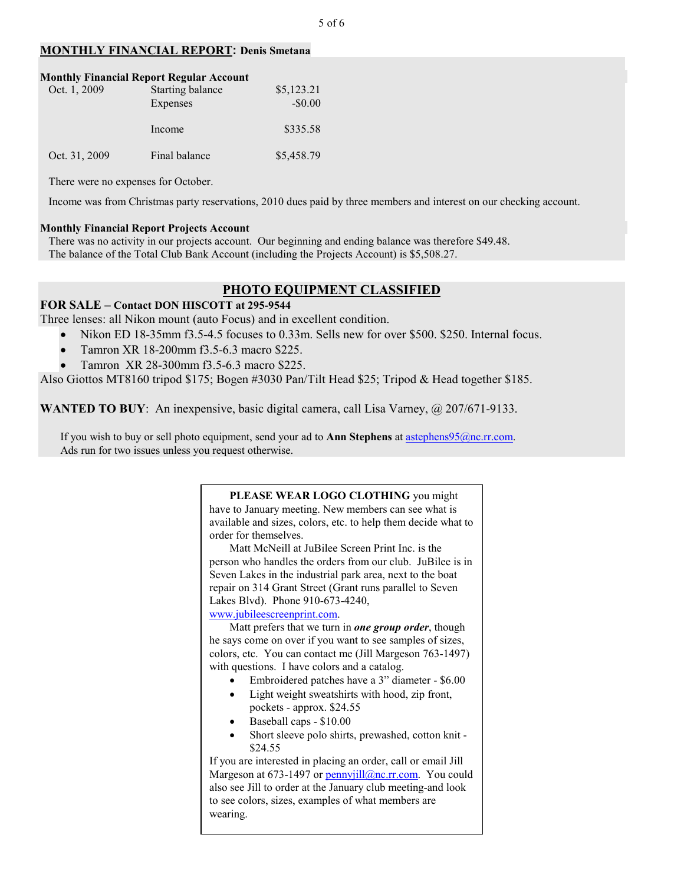# **MONTHLY FINANCIAL REPORT: Denis Smetana**

| Oct. 1, 2009  | <b>Monthly Financial Report Regular Account</b><br><b>Starting balance</b><br>Expenses | \$5,123.21<br>$-$0.00$ |
|---------------|----------------------------------------------------------------------------------------|------------------------|
|               | Income                                                                                 | \$335.58               |
| Oct. 31, 2009 | Final balance                                                                          | \$5,458.79             |

There were no expenses for October.

Income was from Christmas party reservations, 2010 dues paid by three members and interest on our checking account.

### **Monthly Financial Report Projects Account**

 There was no activity in our projects account. Our beginning and ending balance was therefore \$49.48. The balance of the Total Club Bank Account (including the Projects Account) is \$5,508.27.

# **PHOTO EQUIPMENT CLASSIFIED**

#### **FOR SALE – Contact DON HISCOTT at 295-9544**

Three lenses: all Nikon mount (auto Focus) and in excellent condition.

- Nikon ED 18-35mm f3.5-4.5 focuses to 0.33m. Sells new for over \$500, \$250. Internal focus.
- Tamron XR 18-200mm f3.5-6.3 macro \$225.
- Tamron XR 28-300mm f3.5-6.3 macro \$225.

Also Giottos MT8160 tripod \$175; Bogen #3030 Pan/Tilt Head \$25; Tripod & Head together \$185.

**WANTED TO BUY**: An inexpensive, basic digital camera, call Lisa Varney, @ 207/671-9133.

If you wish to buy or sell photo equipment, send your ad to **Ann Stephens** at astephens95@nc.rr.com. Ads run for two issues unless you request otherwise.

## **PLEASE WEAR LOGO CLOTHING** you might

have to January meeting. New members can see what is available and sizes, colors, etc. to help them decide what to order for themselves.

Matt McNeill at JuBilee Screen Print Inc. is the person who handles the orders from our club. JuBilee is in Seven Lakes in the industrial park area, next to the boat repair on 314 Grant Street (Grant runs parallel to Seven Lakes Blvd). Phone 910-673-4240,

www.jubileescreenprint.com.

Matt prefers that we turn in *one group order*, though he says come on over if you want to see samples of sizes, colors, etc. You can contact me (Jill Margeson 763-1497) with questions. I have colors and a catalog.

- Embroidered patches have a 3" diameter \$6.00
- Light weight sweatshirts with hood, zip front, pockets - approx. \$24.55
- Baseball caps \$10.00
- Short sleeve polo shirts, prewashed, cotton knit \$24.55

If you are interested in placing an order, call or email Jill Margeson at 673-1497 or pennyjill@nc.rr.com. You could also see Jill to order at the January club meeting-and look to see colors, sizes, examples of what members are wearing.